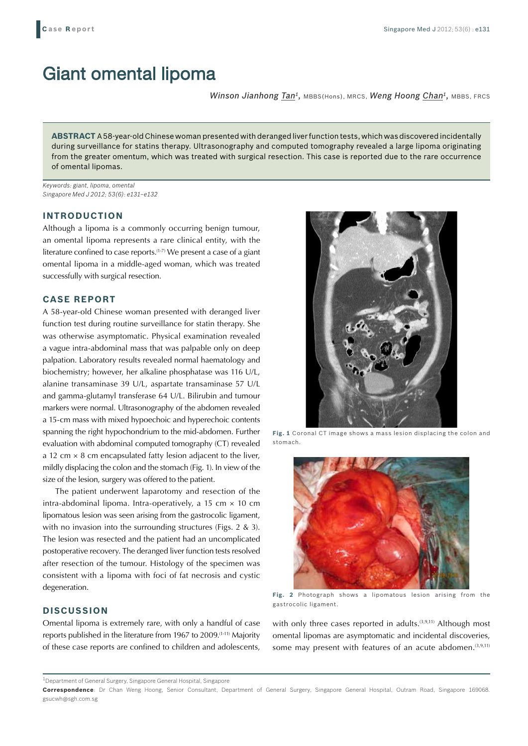# Giant omental lipoma

*Winson Jianhong Tan1,* MBBS(Hons), MRCS, *Weng Hoong Chan1,* MBBS, FRCS

**ABSTRACT** A 58-year-old Chinese woman presented with deranged liver function tests, which was discovered incidentally during surveillance for statins therapy. Ultrasonography and computed tomography revealed a large lipoma originating from the greater omentum, which was treated with surgical resection. This case is reported due to the rare occurrence of omental lipomas.

*Keywords: giant, lipoma, omental Singapore Med J 2012; 53(6): e131–e132*

#### **INTRODUCTION**

Although a lipoma is a commonly occurring benign tumour, an omental lipoma represents a rare clinical entity, with the literature confined to case reports.(1-7) We present a case of a giant omental lipoma in a middle-aged woman, which was treated successfully with surgical resection.

### **CASE REPORT**

A 58-year-old Chinese woman presented with deranged liver function test during routine surveillance for statin therapy. She was otherwise asymptomatic. Physical examination revealed a vague intra-abdominal mass that was palpable only on deep palpation. Laboratory results revealed normal haematology and biochemistry; however, her alkaline phosphatase was 116 U/L, alanine transaminase 39 U/L, aspartate transaminase 57 U/L and gamma-glutamyl transferase 64 U/L. Bilirubin and tumour markers were normal. Ultrasonography of the abdomen revealed a 15-cm mass with mixed hypoechoic and hyperechoic contents spanning the right hypochondrium to the mid-abdomen. Further evaluation with abdominal computed tomography (CT) revealed a 12 cm  $\times$  8 cm encapsulated fatty lesion adjacent to the liver, mildly displacing the colon and the stomach (Fig. 1). In view of the size of the lesion, surgery was offered to the patient.

The patient underwent laparotomy and resection of the intra-abdominal lipoma. Intra-operatively, a 15 cm  $\times$  10 cm lipomatous lesion was seen arising from the gastrocolic ligament, with no invasion into the surrounding structures (Figs. 2 & 3). The lesion was resected and the patient had an uncomplicated postoperative recovery. The deranged liver function tests resolved after resection of the tumour. Histology of the specimen was consistent with a lipoma with foci of fat necrosis and cystic degeneration.

## **DISCUSSION**

Omental lipoma is extremely rare, with only a handful of case reports published in the literature from 1967 to 2009.(1-11) Majority of these case reports are confined to children and adolescents,



**Fig. 1** Coronal CT image shows a mass lesion displacing the colon and stomach.



**Fig. 2** Photograph shows a lipomatous lesion arising from the gastrocolic ligament.

with only three cases reported in adults.<sup>(3,9,11)</sup> Although most omental lipomas are asymptomatic and incidental discoveries, some may present with features of an acute abdomen.<sup>(3,9,11)</sup>

<sup>&</sup>lt;sup>1</sup>Department of General Surgery, Singapore General Hospital, Singapore

**Correspondence**: Dr Chan Weng Hoong, Senior Consultant, Department of General Surgery, Singapore General Hospital, Outram Road, Singapore 169068. gsucwh@sgh.com.sg